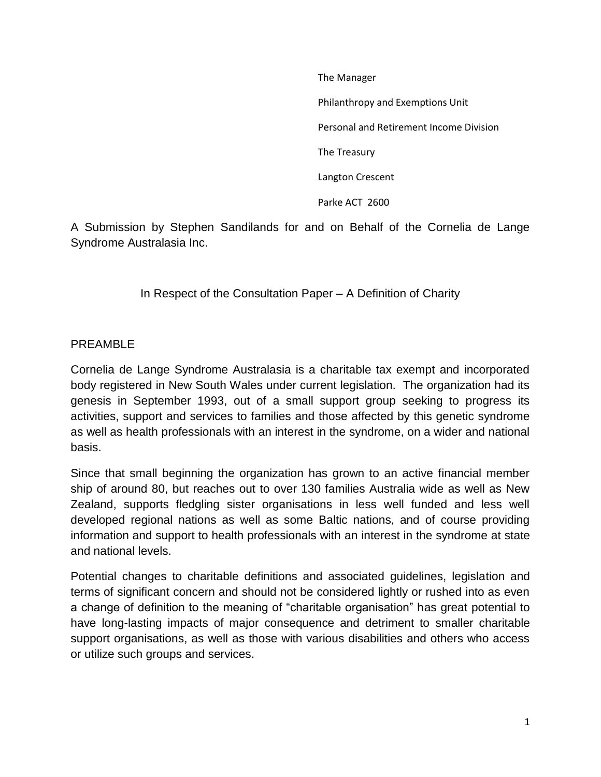The Manager

Philanthropy and Exemptions Unit

Personal and Retirement Income Division

The Treasury

Langton Crescent

Parke ACT 2600

A Submission by Stephen Sandilands for and on Behalf of the Cornelia de Lange Syndrome Australasia Inc.

In Respect of the Consultation Paper – A Definition of Charity

#### PREAMBLE

Cornelia de Lange Syndrome Australasia is a charitable tax exempt and incorporated body registered in New South Wales under current legislation. The organization had its genesis in September 1993, out of a small support group seeking to progress its activities, support and services to families and those affected by this genetic syndrome as well as health professionals with an interest in the syndrome, on a wider and national basis.

Since that small beginning the organization has grown to an active financial member ship of around 80, but reaches out to over 130 families Australia wide as well as New Zealand, supports fledgling sister organisations in less well funded and less well developed regional nations as well as some Baltic nations, and of course providing information and support to health professionals with an interest in the syndrome at state and national levels.

Potential changes to charitable definitions and associated guidelines, legislation and terms of significant concern and should not be considered lightly or rushed into as even a change of definition to the meaning of "charitable organisation" has great potential to have long-lasting impacts of major consequence and detriment to smaller charitable support organisations, as well as those with various disabilities and others who access or utilize such groups and services.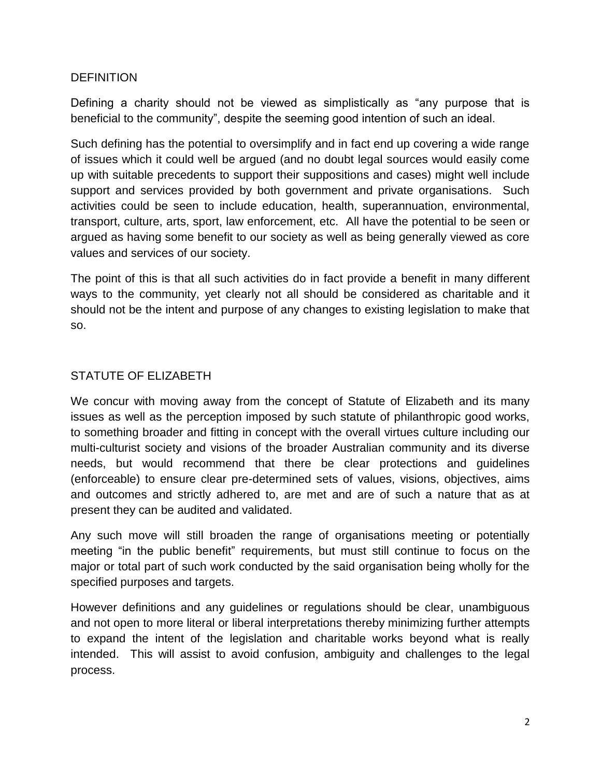# **DEFINITION**

Defining a charity should not be viewed as simplistically as "any purpose that is beneficial to the community", despite the seeming good intention of such an ideal.

Such defining has the potential to oversimplify and in fact end up covering a wide range of issues which it could well be argued (and no doubt legal sources would easily come up with suitable precedents to support their suppositions and cases) might well include support and services provided by both government and private organisations. Such activities could be seen to include education, health, superannuation, environmental, transport, culture, arts, sport, law enforcement, etc. All have the potential to be seen or argued as having some benefit to our society as well as being generally viewed as core values and services of our society.

The point of this is that all such activities do in fact provide a benefit in many different ways to the community, yet clearly not all should be considered as charitable and it should not be the intent and purpose of any changes to existing legislation to make that so.

# STATUTE OF ELIZABETH

We concur with moving away from the concept of Statute of Elizabeth and its many issues as well as the perception imposed by such statute of philanthropic good works, to something broader and fitting in concept with the overall virtues culture including our multi-culturist society and visions of the broader Australian community and its diverse needs, but would recommend that there be clear protections and guidelines (enforceable) to ensure clear pre-determined sets of values, visions, objectives, aims and outcomes and strictly adhered to, are met and are of such a nature that as at present they can be audited and validated.

Any such move will still broaden the range of organisations meeting or potentially meeting "in the public benefit" requirements, but must still continue to focus on the major or total part of such work conducted by the said organisation being wholly for the specified purposes and targets.

However definitions and any guidelines or regulations should be clear, unambiguous and not open to more literal or liberal interpretations thereby minimizing further attempts to expand the intent of the legislation and charitable works beyond what is really intended. This will assist to avoid confusion, ambiguity and challenges to the legal process.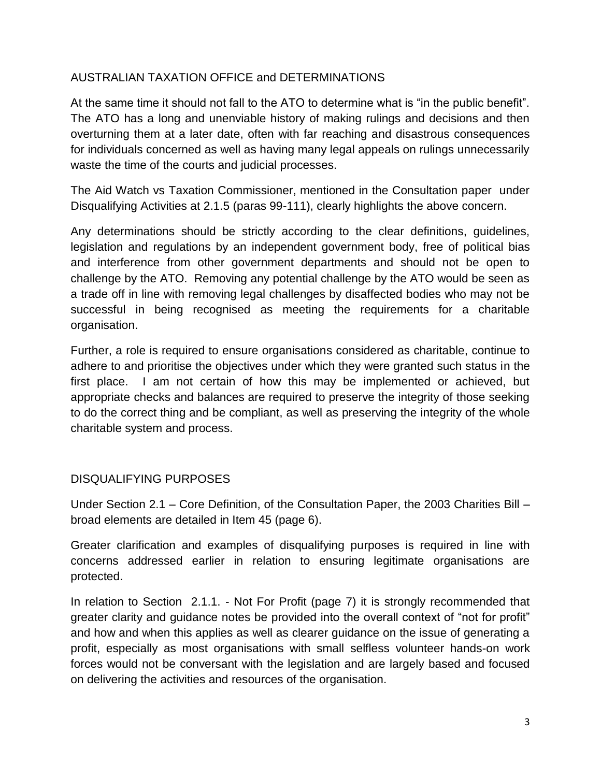# AUSTRALIAN TAXATION OFFICE and DETERMINATIONS

At the same time it should not fall to the ATO to determine what is "in the public benefit". The ATO has a long and unenviable history of making rulings and decisions and then overturning them at a later date, often with far reaching and disastrous consequences for individuals concerned as well as having many legal appeals on rulings unnecessarily waste the time of the courts and judicial processes.

The Aid Watch vs Taxation Commissioner, mentioned in the Consultation paper under Disqualifying Activities at 2.1.5 (paras 99-111), clearly highlights the above concern.

Any determinations should be strictly according to the clear definitions, guidelines, legislation and regulations by an independent government body, free of political bias and interference from other government departments and should not be open to challenge by the ATO. Removing any potential challenge by the ATO would be seen as a trade off in line with removing legal challenges by disaffected bodies who may not be successful in being recognised as meeting the requirements for a charitable organisation.

Further, a role is required to ensure organisations considered as charitable, continue to adhere to and prioritise the objectives under which they were granted such status in the first place. I am not certain of how this may be implemented or achieved, but appropriate checks and balances are required to preserve the integrity of those seeking to do the correct thing and be compliant, as well as preserving the integrity of the whole charitable system and process.

# DISQUALIFYING PURPOSES

Under Section 2.1 – Core Definition, of the Consultation Paper, the 2003 Charities Bill – broad elements are detailed in Item 45 (page 6).

Greater clarification and examples of disqualifying purposes is required in line with concerns addressed earlier in relation to ensuring legitimate organisations are protected.

In relation to Section 2.1.1. - Not For Profit (page 7) it is strongly recommended that greater clarity and guidance notes be provided into the overall context of "not for profit" and how and when this applies as well as clearer guidance on the issue of generating a profit, especially as most organisations with small selfless volunteer hands-on work forces would not be conversant with the legislation and are largely based and focused on delivering the activities and resources of the organisation.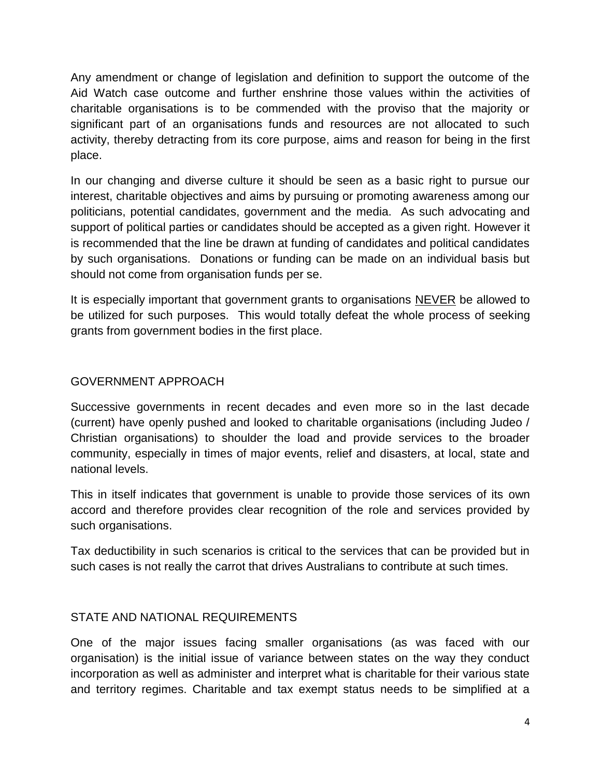Any amendment or change of legislation and definition to support the outcome of the Aid Watch case outcome and further enshrine those values within the activities of charitable organisations is to be commended with the proviso that the majority or significant part of an organisations funds and resources are not allocated to such activity, thereby detracting from its core purpose, aims and reason for being in the first place.

In our changing and diverse culture it should be seen as a basic right to pursue our interest, charitable objectives and aims by pursuing or promoting awareness among our politicians, potential candidates, government and the media. As such advocating and support of political parties or candidates should be accepted as a given right. However it is recommended that the line be drawn at funding of candidates and political candidates by such organisations. Donations or funding can be made on an individual basis but should not come from organisation funds per se.

It is especially important that government grants to organisations NEVER be allowed to be utilized for such purposes. This would totally defeat the whole process of seeking grants from government bodies in the first place.

# GOVERNMENT APPROACH

Successive governments in recent decades and even more so in the last decade (current) have openly pushed and looked to charitable organisations (including Judeo / Christian organisations) to shoulder the load and provide services to the broader community, especially in times of major events, relief and disasters, at local, state and national levels.

This in itself indicates that government is unable to provide those services of its own accord and therefore provides clear recognition of the role and services provided by such organisations.

Tax deductibility in such scenarios is critical to the services that can be provided but in such cases is not really the carrot that drives Australians to contribute at such times.

# STATE AND NATIONAL REQUIREMENTS

One of the major issues facing smaller organisations (as was faced with our organisation) is the initial issue of variance between states on the way they conduct incorporation as well as administer and interpret what is charitable for their various state and territory regimes. Charitable and tax exempt status needs to be simplified at a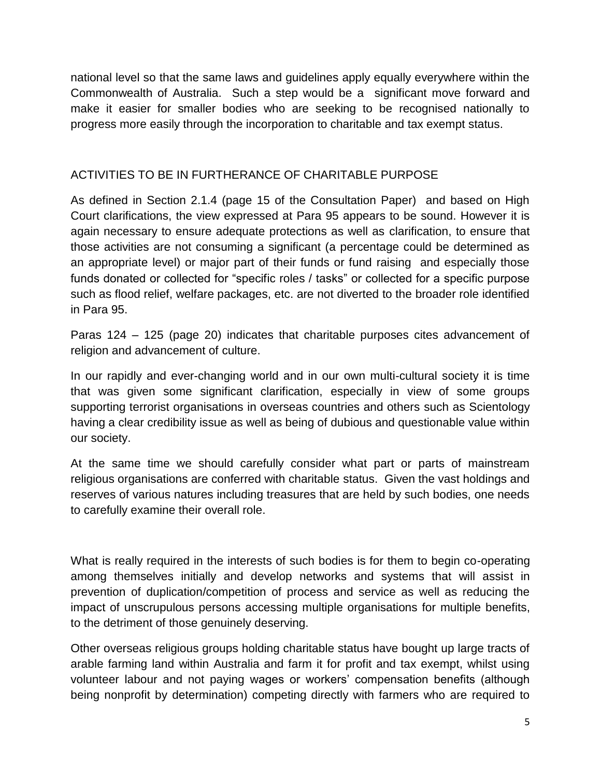national level so that the same laws and guidelines apply equally everywhere within the Commonwealth of Australia. Such a step would be a significant move forward and make it easier for smaller bodies who are seeking to be recognised nationally to progress more easily through the incorporation to charitable and tax exempt status.

# ACTIVITIES TO BE IN FURTHERANCE OF CHARITABLE PURPOSE

As defined in Section 2.1.4 (page 15 of the Consultation Paper) and based on High Court clarifications, the view expressed at Para 95 appears to be sound. However it is again necessary to ensure adequate protections as well as clarification, to ensure that those activities are not consuming a significant (a percentage could be determined as an appropriate level) or major part of their funds or fund raising and especially those funds donated or collected for "specific roles / tasks" or collected for a specific purpose such as flood relief, welfare packages, etc. are not diverted to the broader role identified in Para 95.

Paras 124 – 125 (page 20) indicates that charitable purposes cites advancement of religion and advancement of culture.

In our rapidly and ever-changing world and in our own multi-cultural society it is time that was given some significant clarification, especially in view of some groups supporting terrorist organisations in overseas countries and others such as Scientology having a clear credibility issue as well as being of dubious and questionable value within our society.

At the same time we should carefully consider what part or parts of mainstream religious organisations are conferred with charitable status. Given the vast holdings and reserves of various natures including treasures that are held by such bodies, one needs to carefully examine their overall role.

What is really required in the interests of such bodies is for them to begin co-operating among themselves initially and develop networks and systems that will assist in prevention of duplication/competition of process and service as well as reducing the impact of unscrupulous persons accessing multiple organisations for multiple benefits, to the detriment of those genuinely deserving.

Other overseas religious groups holding charitable status have bought up large tracts of arable farming land within Australia and farm it for profit and tax exempt, whilst using volunteer labour and not paying wages or workers' compensation benefits (although being nonprofit by determination) competing directly with farmers who are required to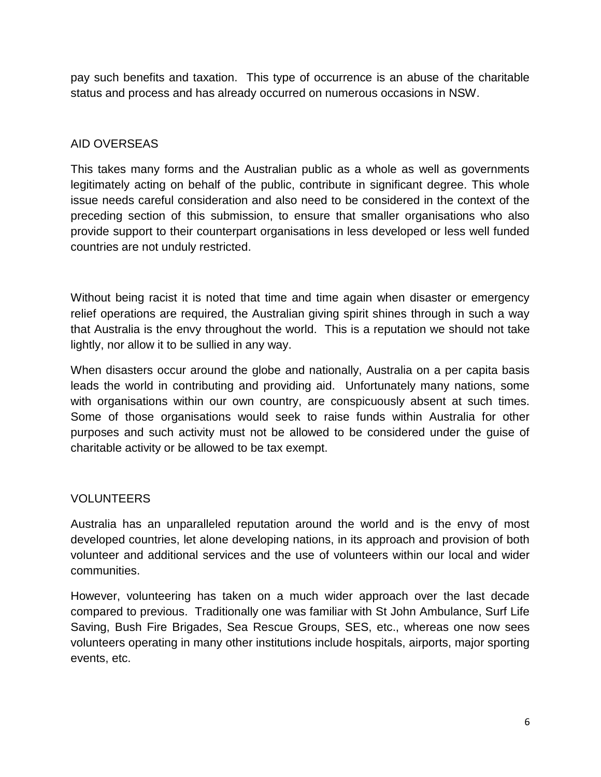pay such benefits and taxation. This type of occurrence is an abuse of the charitable status and process and has already occurred on numerous occasions in NSW.

# AID OVERSEAS

This takes many forms and the Australian public as a whole as well as governments legitimately acting on behalf of the public, contribute in significant degree. This whole issue needs careful consideration and also need to be considered in the context of the preceding section of this submission, to ensure that smaller organisations who also provide support to their counterpart organisations in less developed or less well funded countries are not unduly restricted.

Without being racist it is noted that time and time again when disaster or emergency relief operations are required, the Australian giving spirit shines through in such a way that Australia is the envy throughout the world. This is a reputation we should not take lightly, nor allow it to be sullied in any way.

When disasters occur around the globe and nationally, Australia on a per capita basis leads the world in contributing and providing aid. Unfortunately many nations, some with organisations within our own country, are conspicuously absent at such times. Some of those organisations would seek to raise funds within Australia for other purposes and such activity must not be allowed to be considered under the guise of charitable activity or be allowed to be tax exempt.

# VOLUNTEERS

Australia has an unparalleled reputation around the world and is the envy of most developed countries, let alone developing nations, in its approach and provision of both volunteer and additional services and the use of volunteers within our local and wider communities.

However, volunteering has taken on a much wider approach over the last decade compared to previous. Traditionally one was familiar with St John Ambulance, Surf Life Saving, Bush Fire Brigades, Sea Rescue Groups, SES, etc., whereas one now sees volunteers operating in many other institutions include hospitals, airports, major sporting events, etc.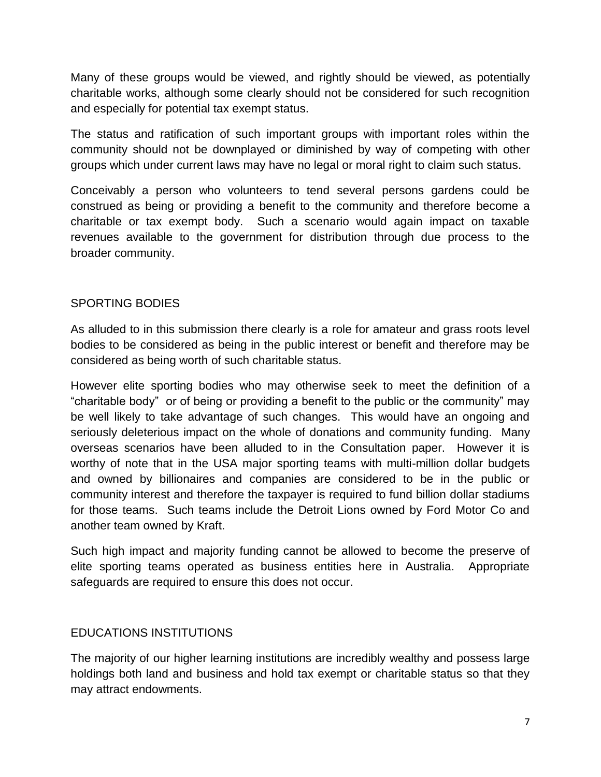Many of these groups would be viewed, and rightly should be viewed, as potentially charitable works, although some clearly should not be considered for such recognition and especially for potential tax exempt status.

The status and ratification of such important groups with important roles within the community should not be downplayed or diminished by way of competing with other groups which under current laws may have no legal or moral right to claim such status.

Conceivably a person who volunteers to tend several persons gardens could be construed as being or providing a benefit to the community and therefore become a charitable or tax exempt body. Such a scenario would again impact on taxable revenues available to the government for distribution through due process to the broader community.

# SPORTING BODIES

As alluded to in this submission there clearly is a role for amateur and grass roots level bodies to be considered as being in the public interest or benefit and therefore may be considered as being worth of such charitable status.

However elite sporting bodies who may otherwise seek to meet the definition of a "charitable body" or of being or providing a benefit to the public or the community" may be well likely to take advantage of such changes. This would have an ongoing and seriously deleterious impact on the whole of donations and community funding. Many overseas scenarios have been alluded to in the Consultation paper. However it is worthy of note that in the USA major sporting teams with multi-million dollar budgets and owned by billionaires and companies are considered to be in the public or community interest and therefore the taxpayer is required to fund billion dollar stadiums for those teams. Such teams include the Detroit Lions owned by Ford Motor Co and another team owned by Kraft.

Such high impact and majority funding cannot be allowed to become the preserve of elite sporting teams operated as business entities here in Australia. Appropriate safeguards are required to ensure this does not occur.

# EDUCATIONS INSTITUTIONS

The majority of our higher learning institutions are incredibly wealthy and possess large holdings both land and business and hold tax exempt or charitable status so that they may attract endowments.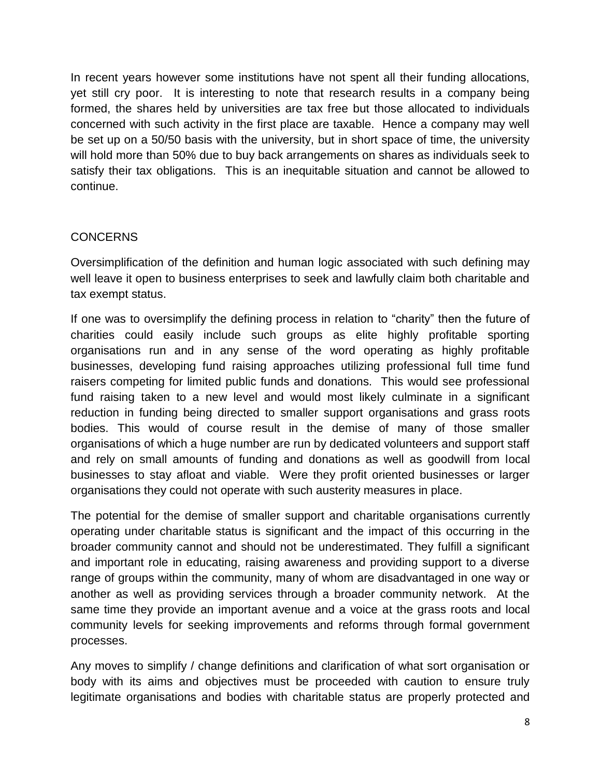In recent years however some institutions have not spent all their funding allocations, yet still cry poor. It is interesting to note that research results in a company being formed, the shares held by universities are tax free but those allocated to individuals concerned with such activity in the first place are taxable. Hence a company may well be set up on a 50/50 basis with the university, but in short space of time, the university will hold more than 50% due to buy back arrangements on shares as individuals seek to satisfy their tax obligations. This is an inequitable situation and cannot be allowed to continue.

# **CONCERNS**

Oversimplification of the definition and human logic associated with such defining may well leave it open to business enterprises to seek and lawfully claim both charitable and tax exempt status.

If one was to oversimplify the defining process in relation to "charity" then the future of charities could easily include such groups as elite highly profitable sporting organisations run and in any sense of the word operating as highly profitable businesses, developing fund raising approaches utilizing professional full time fund raisers competing for limited public funds and donations. This would see professional fund raising taken to a new level and would most likely culminate in a significant reduction in funding being directed to smaller support organisations and grass roots bodies. This would of course result in the demise of many of those smaller organisations of which a huge number are run by dedicated volunteers and support staff and rely on small amounts of funding and donations as well as goodwill from local businesses to stay afloat and viable. Were they profit oriented businesses or larger organisations they could not operate with such austerity measures in place.

The potential for the demise of smaller support and charitable organisations currently operating under charitable status is significant and the impact of this occurring in the broader community cannot and should not be underestimated. They fulfill a significant and important role in educating, raising awareness and providing support to a diverse range of groups within the community, many of whom are disadvantaged in one way or another as well as providing services through a broader community network. At the same time they provide an important avenue and a voice at the grass roots and local community levels for seeking improvements and reforms through formal government processes.

Any moves to simplify / change definitions and clarification of what sort organisation or body with its aims and objectives must be proceeded with caution to ensure truly legitimate organisations and bodies with charitable status are properly protected and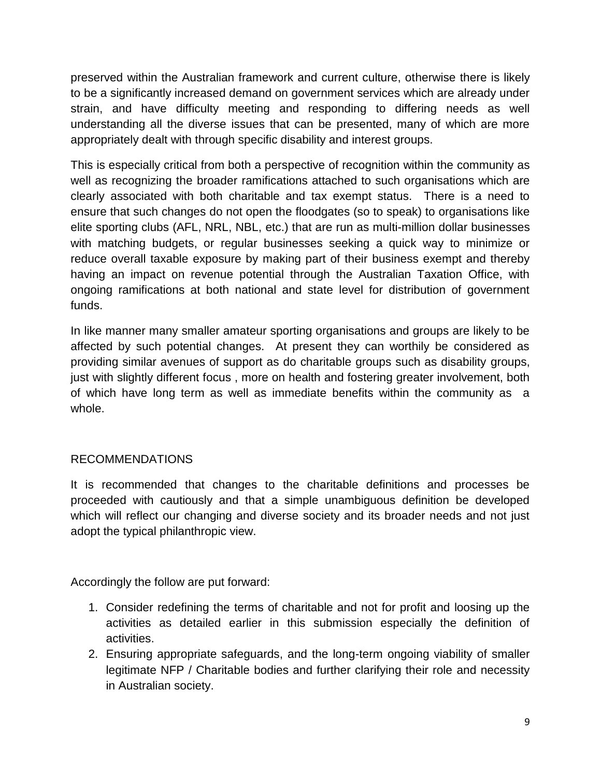preserved within the Australian framework and current culture, otherwise there is likely to be a significantly increased demand on government services which are already under strain, and have difficulty meeting and responding to differing needs as well understanding all the diverse issues that can be presented, many of which are more appropriately dealt with through specific disability and interest groups.

This is especially critical from both a perspective of recognition within the community as well as recognizing the broader ramifications attached to such organisations which are clearly associated with both charitable and tax exempt status. There is a need to ensure that such changes do not open the floodgates (so to speak) to organisations like elite sporting clubs (AFL, NRL, NBL, etc.) that are run as multi-million dollar businesses with matching budgets, or regular businesses seeking a quick way to minimize or reduce overall taxable exposure by making part of their business exempt and thereby having an impact on revenue potential through the Australian Taxation Office, with ongoing ramifications at both national and state level for distribution of government funds.

In like manner many smaller amateur sporting organisations and groups are likely to be affected by such potential changes. At present they can worthily be considered as providing similar avenues of support as do charitable groups such as disability groups, just with slightly different focus , more on health and fostering greater involvement, both of which have long term as well as immediate benefits within the community as a whole.

# RECOMMENDATIONS

It is recommended that changes to the charitable definitions and processes be proceeded with cautiously and that a simple unambiguous definition be developed which will reflect our changing and diverse society and its broader needs and not just adopt the typical philanthropic view.

Accordingly the follow are put forward:

- 1. Consider redefining the terms of charitable and not for profit and loosing up the activities as detailed earlier in this submission especially the definition of activities.
- 2. Ensuring appropriate safeguards, and the long-term ongoing viability of smaller legitimate NFP / Charitable bodies and further clarifying their role and necessity in Australian society.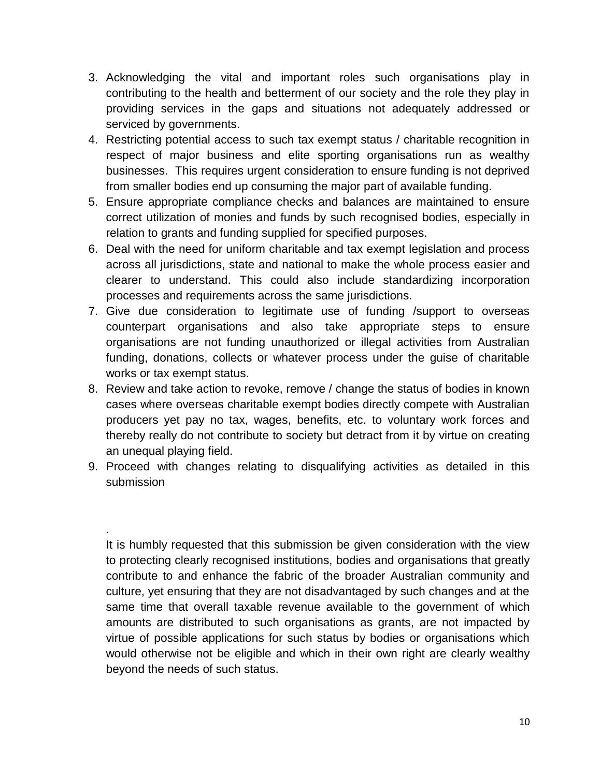- 3. Acknowledging the vital and important roles such organisations play in contributing to the health and betterment of our society and the role they play in providing services in the gaps and situations not adequately addressed or serviced by governments.
- 4. Restricting potential access to such tax exempt status / charitable recognition in respect of major business and elite sporting organisations run as wealthy businesses. This requires urgent consideration to ensure funding is not deprived from smaller bodies end up consuming the major part of available funding.
- 5. Ensure appropriate compliance checks and balances are maintained to ensure correct utilization of monies and funds by such recognised bodies, especially in relation to grants and funding supplied for specified purposes.
- 6. Deal with the need for uniform charitable and tax exempt legislation and process across all jurisdictions, state and national to make the whole process easier and clearer to understand. This could also include standardizing incorporation processes and requirements across the same jurisdictions.
- 7. Give due consideration to legitimate use of funding /support to overseas counterpart organisations and also take appropriate steps to ensure organisations are not funding unauthorized or illegal activities from Australian funding, donations, collects or whatever process under the guise of charitable works or tax exempt status.
- 8. Review and take action to revoke, remove / change the status of bodies in known cases where overseas charitable exempt bodies directly compete with Australian producers yet pay no tax, wages, benefits, etc. to voluntary work forces and thereby really do not contribute to society but detract from it by virtue on creating an unequal playing field.
- 9. Proceed with changes relating to disqualifying activities as detailed in this submission

.

It is humbly requested that this submission be given consideration with the view to protecting clearly recognised institutions, bodies and organisations that greatly contribute to and enhance the fabric of the broader Australian community and culture, yet ensuring that they are not disadvantaged by such changes and at the same time that overall taxable revenue available to the government of which amounts are distributed to such organisations as grants, are not impacted by virtue of possible applications for such status by bodies or organisations which would otherwise not be eligible and which in their own right are clearly wealthy beyond the needs of such status.